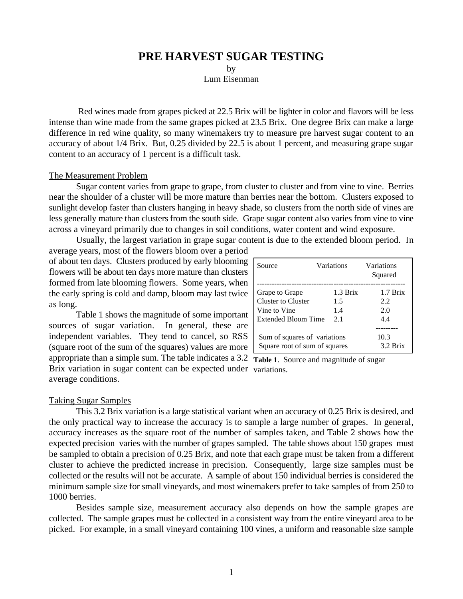# **PRE HARVEST SUGAR TESTING**

by

Lum Eisenman

 Red wines made from grapes picked at 22.5 Brix will be lighter in color and flavors will be less intense than wine made from the same grapes picked at 23.5 Brix. One degree Brix can make a large difference in red wine quality, so many winemakers try to measure pre harvest sugar content to an accuracy of about 1/4 Brix. But, 0.25 divided by 22.5 is about 1 percent, and measuring grape sugar content to an accuracy of 1 percent is a difficult task.

#### The Measurement Problem

Sugar content varies from grape to grape, from cluster to cluster and from vine to vine. Berries near the shoulder of a cluster will be more mature than berries near the bottom. Clusters exposed to sunlight develop faster than clusters hanging in heavy shade, so clusters from the north side of vines are less generally mature than clusters from the south side. Grape sugar content also varies from vine to vine across a vineyard primarily due to changes in soil conditions, water content and wind exposure.

Usually, the largest variation in grape sugar content is due to the extended bloom period. In average years, most of the flowers bloom over a period

of about ten days. Clusters produced by early blooming flowers will be about ten days more mature than clusters formed from late blooming flowers. Some years, when the early spring is cold and damp, bloom may last twice as long.

appropriate than a simple sum. The table indicates a 3.2 Table 1. Source and magnitude of sugar Brix variation in sugar content can be expected under variations. Table 1 shows the magnitude of some important sources of sugar variation. In general, these are independent variables. They tend to cancel, so RSS (square root of the sum of the squares) values are more average conditions.

| Source                        | Variations | Variations<br>Squared |
|-------------------------------|------------|-----------------------|
| Grape to Grape                | 1.3 Brix   | 1.7 Brix              |
| Cluster to Cluster            | 1.5        | 2.2.                  |
| Vine to Vine                  | 1.4        | 20                    |
| Extended Bloom Time           | 2.1        | 4.4                   |
| Sum of squares of variations  |            | 10.3                  |
| Square root of sum of squares |            | 3.2 Brix              |

### Taking Sugar Samples

This 3.2 Brix variation is a large statistical variant when an accuracy of 0.25 Brix is desired, and the only practical way to increase the accuracy is to sample a large number of grapes. In general, accuracy increases as the square root of the number of samples taken, and Table 2 shows how the expected precision varies with the number of grapes sampled. The table shows about 150 grapes must be sampled to obtain a precision of 0.25 Brix, and note that each grape must be taken from a different cluster to achieve the predicted increase in precision. Consequently, large size samples must be collected or the results will not be accurate. A sample of about 150 individual berries is considered the minimum sample size for small vineyards, and most winemakers prefer to take samples of from 250 to 1000 berries.

Besides sample size, measurement accuracy also depends on how the sample grapes are collected. The sample grapes must be collected in a consistent way from the entire vineyard area to be picked. For example, in a small vineyard containing 100 vines, a uniform and reasonable size sample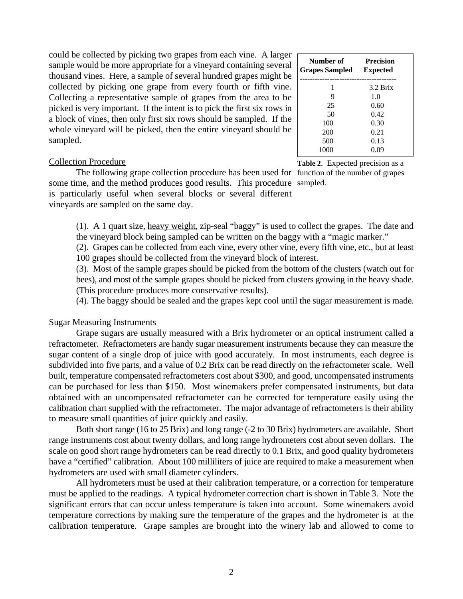### Collection Procedure

The following grape collection procedure has been used for function of the number of grapes some time, and the method produces good results. This procedure sampled. is particularly useful when several blocks or several different vineyards are sampled on the same day.

 **Number of Precision Grapes Sampled Expected** --------------------------------------- 1 3.2 Brix  $\begin{array}{ccc} 9 & & 1.0 \\ 25 & & 0.60 \end{array}$ 0.60 50 0.42 100 0.30 200 0.21 500 0.13 1000 0.09

**Table 2**. Expected precision as a

(1). A 1 quart size, heavy weight, zip-seal "baggy" is used to collect the grapes. The date and the vineyard block being sampled can be written on the baggy with a "magic marker."

(2). Grapes can be collected from each vine, every other vine, every fifth vine, etc., but at least 100 grapes should be collected from the vineyard block of interest.

(3). Most of the sample grapes should be picked from the bottom of the clusters (watch out for bees), and most of the sample grapes should be picked from clusters growing in the heavy shade. (This procedure produces more conservative results).

(4). The baggy should be sealed and the grapes kept cool until the sugar measurement is made.

### Sugar Measuring Instruments

Grape sugars are usually measured with a Brix hydrometer or an optical instrument called a refractometer. Refractometers are handy sugar measurement instruments because they can measure the sugar content of a single drop of juice with good accurately. In most instruments, each degree is subdivided into five parts, and a value of 0.2 Brix can be read directly on the refractometer scale. Well built, temperature compensated refractometers cost about \$300, and good, uncompensated instruments can be purchased for less than \$150. Most winemakers prefer compensated instruments, but data obtained with an uncompensated refractometer can be corrected for temperature easily using the calibration chart supplied with the refractometer. The major advantage of refractometers is their ability to measure small quantities of juice quickly and easily.

Both short range (16 to 25 Brix) and long range (-2 to 30 Brix) hydrometers are available. Short range instruments cost about twenty dollars, and long range hydrometers cost about seven dollars. The scale on good short range hydrometers can be read directly to 0.1 Brix, and good quality hydrometers have a "certified" calibration. About 100 milliliters of juice are required to make a measurement when hydrometers are used with small diameter cylinders.

All hydrometers must be used at their calibration temperature, or a correction for temperature must be applied to the readings. A typical hydrometer correction chart is shown in Table 3. Note the significant errors that can occur unless temperature is taken into account. Some winemakers avoid temperature corrections by making sure the temperature of the grapes and the hydrometer is at the calibration temperature. Grape samples are brought into the winery lab and allowed to come to